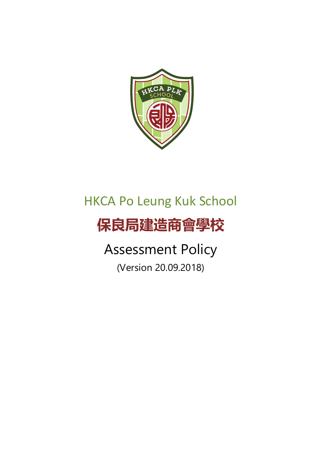

## HKCA Po Leung Kuk School

# **保良局建造商會學校**

# Assessment Policy

(Version 20.09.2018)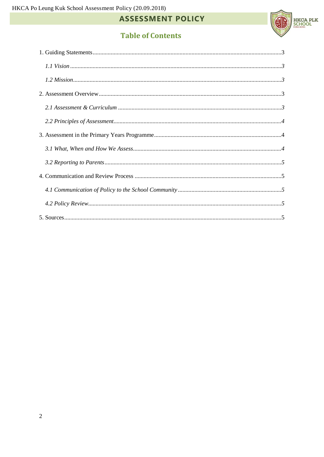

## **Table of Contents**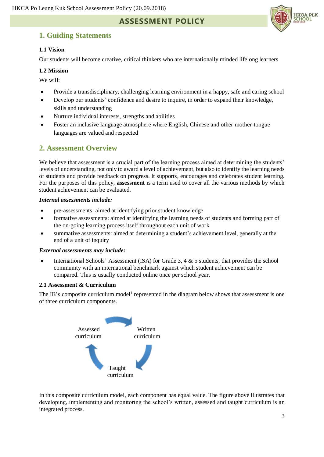### <span id="page-2-0"></span>**1. Guiding Statements**

#### <span id="page-2-1"></span>**1.1 Vision**

Our students will become creative, critical thinkers who are internationally minded lifelong learners

#### <span id="page-2-2"></span>**1.2 Mission**

We will:

- Provide a transdisciplinary, challenging learning environment in a happy, safe and caring school
- Develop our students' confidence and desire to inquire, in order to expand their knowledge, skills and understanding
- Nurture individual interests, strengths and abilities
- Foster an inclusive language atmosphere where English, Chinese and other mother-tongue languages are valued and respected

### <span id="page-2-3"></span>**2. Assessment Overview**

We believe that assessment is a crucial part of the learning process aimed at determining the students' levels of understanding, not only to award a level of achievement, but also to identify the learning needs of students and provide feedback on progress. It supports, encourages and celebrates student learning. For the purposes of this policy, **assessment** is a term used to cover all the various methods by which student achievement can be evaluated.

#### *Internal assessments include:*

- pre-assessments: aimed at identifying prior student knowledge
- formative assessments: aimed at identifying the learning needs of students and forming part of the on-going learning process itself throughout each unit of work
- summative assessments: aimed at determining a student's achievement level, generally at the end of a unit of inquiry

#### *External assessments may include:*

International Schools' Assessment (ISA) for Grade 3, 4  $\&$  5 students, that provides the school community with an international benchmark against which student achievement can be compared. This is usually conducted online once per school year.

#### <span id="page-2-4"></span>**2.1 Assessment & Curriculum**

The IB's composite curriculum model<sup>1</sup> represented in the diagram below shows that assessment is one of three curriculum components.



In this composite curriculum model, each component has equal value. The figure above illustrates that developing, implementing and monitoring the school's written, assessed and taught curriculum is an integrated process.

**HKCA PLK** SCHOOL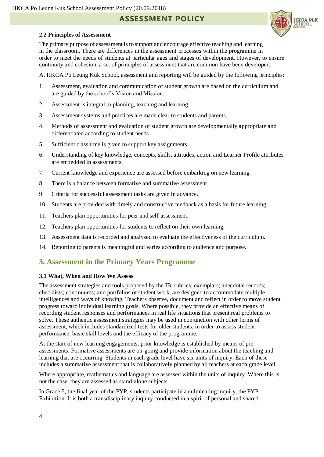**HKCA PLK** SCHOOL

#### <span id="page-3-0"></span>**2.2 Principles of Assessment**

The primary purpose of assessment is to support and encourage effective teaching and learning in the classroom. There are differences in the assessment processes within the programme in order to meet the needs of students at particular ages and stages of development. However, to ensure continuity and cohesion, a set of principles of assessment that are common have been developed.

At HKCA Po Leung Kuk School, assessment and reporting will be guided by the following principles:

- 1. Assessment, evaluation and communication of student growth are based on the curriculum and are guided by the school's Vision and Mission.
- 2. Assessment is integral to planning, teaching and learning.
- 3. Assessment systems and practices are made clear to students and parents.
- 4. Methods of assessment and evaluation of student growth are developmentally appropriate and differentiated according to student needs.
- 5. Sufficient class time is given to support key assignments.
- 6. Understanding of key knowledge, concepts, skills, attitudes, action and Learner Profile attributes are embedded in assessments.
- 7. Current knowledge and experience are assessed before embarking on new learning.
- 8. There is a balance between formative and summative assessment.
- 9. Criteria for successful assessment tasks are given in advance.
- 10. Students are provided with timely and constructive feedback as a basis for future learning.
- 11. Teachers plan opportunities for peer and self-assessment.
- 12. Teachers plan opportunities for students to reflect on their own learning.
- 13. Assessment data is recorded and analysed to evaluate the effectiveness of the curriculum.
- 14. Reporting to parents is meaningful and varies according to audience and purpose.

## <span id="page-3-1"></span>**3. Assessment in the Primary Years Programme**

#### <span id="page-3-2"></span>**3.1 What, When and How We Assess**

The assessment strategies and tools proposed by the IB: rubrics; exemplars; anecdotal records; checklists; continuums; and portfolios of student work, are designed to accommodate multiple intelligences and ways of knowing. Teachers observe, document and reflect in order to move student progress toward individual learning goals. Where possible, they provide an effective means of recording student responses and performances in real life situations that present real problems to solve. These authentic assessment strategies may be used in conjunction with other forms of assessment, which includes standardized tests for older students, in order to assess student performance, basic skill levels and the efficacy of the programme.

At the start of new learning engagements, prior knowledge is established by means of preassessments. Formative assessments are on-going and provide information about the teaching and learning that are occurring. Students in each grade level have six units of inquiry. Each of these includes a summative assessment that is collaboratively planned by all teachers at each grade level.

Where appropriate, mathematics and language are assessed within the units of inquiry. Where this is not the case, they are assessed as stand-alone subjects.

In Grade 5, the final year of the PYP, students participate in a culminating inquiry, the PYP Exhibition. It is both a transdisciplinary inquiry conducted in a spirit of personal and shared